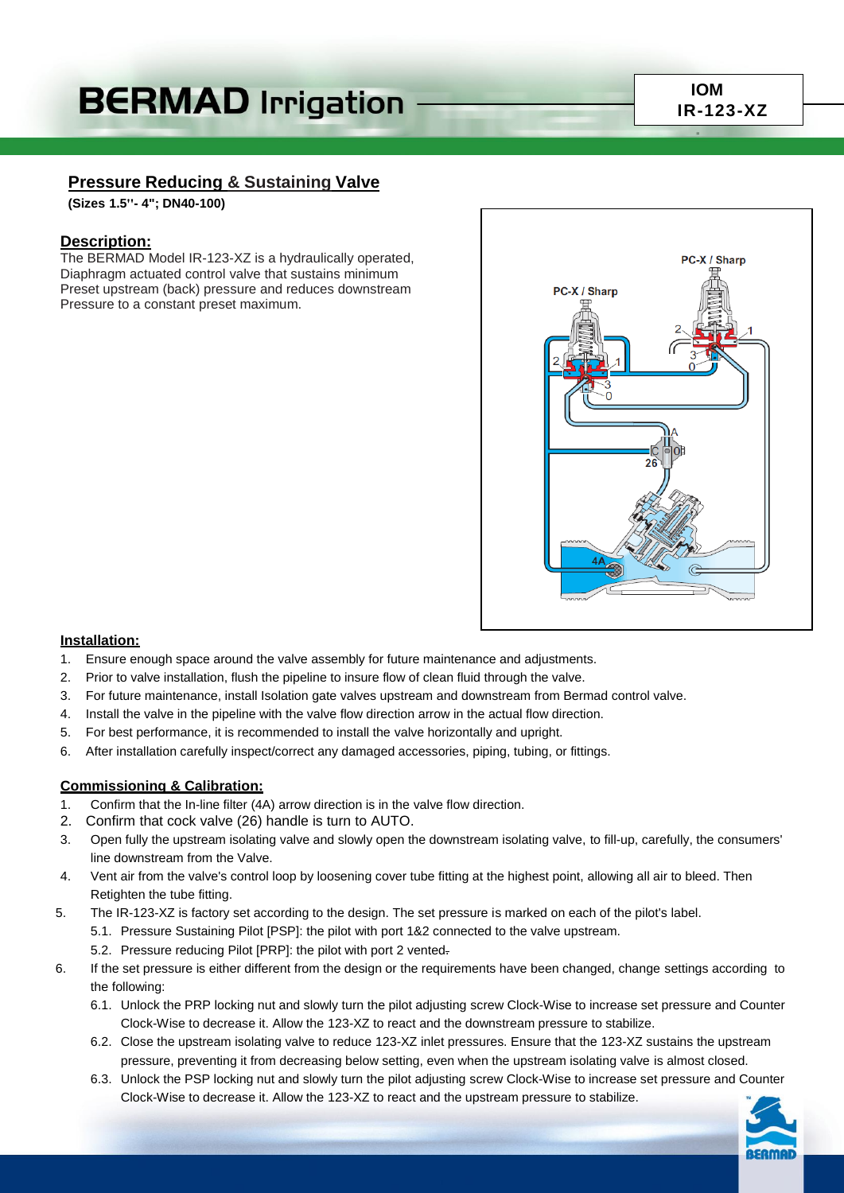# **BERMAD Irrigation**

# **Pressure Reducing & Sustaining Valve**

**(Sizes 1.5''- 4"; DN40-100)**

## **Description:**

The BERMAD Model IR-123-XZ is a hydraulically operated, Diaphragm actuated control valve that sustains minimum Preset upstream (back) pressure and reduces downstream Pressure to a constant preset maximum.



#### **Installation:**

- 1. Ensure enough space around the valve assembly for future maintenance and adjustments.
- 2. Prior to valve installation, flush the pipeline to insure flow of clean fluid through the valve.
- 3. For future maintenance, install Isolation gate valves upstream and downstream from Bermad control valve.
- 4. Install the valve in the pipeline with the valve flow direction arrow in the actual flow direction.
- 5. For best performance, it is recommended to install the valve horizontally and upright.
- 6. After installation carefully inspect/correct any damaged accessories, piping, tubing, or fittings.

#### **Commissioning & Calibration:**

- 1. Confirm that the In-line filter (4A) arrow direction is in the valve flow direction.
- 2. Confirm that cock valve (26) handle is turn to AUTO.
- 3. Open fully the upstream isolating valve and slowly open the downstream isolating valve, to fill-up, carefully, the consumers' line downstream from the Valve.
- 4. Vent air from the valve's control loop by loosening cover tube fitting at the highest point, allowing all air to bleed. Then Retighten the tube fitting.
- 5. The IR-123-XZ is factory set according to the design. The set pressure is marked on each of the pilot's label.
	- 5.1. Pressure Sustaining Pilot [PSP]: the pilot with port 1&2 connected to the valve upstream.
		- 5.2. Pressure reducing Pilot [PRP]: the pilot with port 2 vented.
- 6. If the set pressure is either different from the design or the requirements have been changed, change settings according to the following:
	- 6.1. Unlock the PRP locking nut and slowly turn the pilot adjusting screw Clock-Wise to increase set pressure and Counter Clock-Wise to decrease it. Allow the 123-XZ to react and the downstream pressure to stabilize.
	- 6.2. Close the upstream isolating valve to reduce 123-XZ inlet pressures. Ensure that the 123-XZ sustains the upstream pressure, preventing it from decreasing below setting, even when the upstream isolating valve is almost closed.
	- 6.3. Unlock the PSP locking nut and slowly turn the pilot adjusting screw Clock-Wise to increase set pressure and Counter Clock-Wise to decrease it. Allow the 123-XZ to react and the upstream pressure to stabilize.